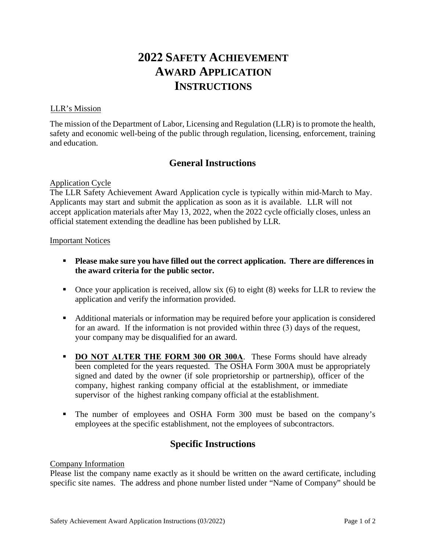# **2022 SAFETY ACHIEVEMENT AWARD APPLICATION INSTRUCTIONS**

### LLR's Mission

The mission of the Department of Labor, Licensing and Regulation (LLR) is to promote the health, safety and economic well-being of the public through regulation, licensing, enforcement, training and education.

### **General Instructions**

### Application Cycle

The LLR Safety Achievement Award Application cycle is typically within mid-March to May. Applicants may start and submit the application as soon as it is available. LLR will not accept application materials after May 13, 2022, when the 2022 cycle officially closes, unless an official statement extending the deadline has been published by LLR.

### Important Notices

- **Please make sure you have filled out the correct application. There are differences in the award criteria for the public sector.**
- $\blacksquare$  Once your application is received, allow six (6) to eight (8) weeks for LLR to review the application and verify the information provided.
- Additional materials or information may be required before your application is considered for an award. If the information is not provided within three (3) days of the request, your company may be disqualified for an award.
- **DO NOT ALTER THE FORM 300 OR 300A.** These Forms should have already been completed for the years requested. The OSHA Form 300A must be appropriately signed and dated by the owner (if sole proprietorship or partnership), officer of the company, highest ranking company official at the establishment, or immediate supervisor of the highest ranking company official at the establishment.
- The number of employees and OSHA Form 300 must be based on the company's employees at the specific establishment, not the employees of subcontractors.

## **Specific Instructions**

### Company Information

Please list the company name exactly as it should be written on the award certificate, including specific site names. The address and phone number listed under "Name of Company" should be